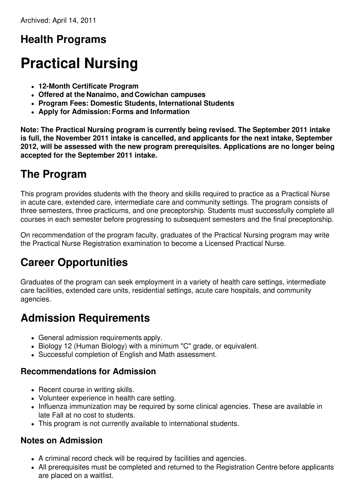# **Health Programs**

# **Practical Nursing**

- **12-Month Certificate Program**
- **Offered at the Nanaimo, and Cowichan campuses**
- **Program Fees: Domestic Students, International Students**
- **Apply for Admission:Forms and Information**

**Note: The Practical Nursing program is currently being revised. The September 2011 intake is full, the November 2011 intake is cancelled, and applicants for the next intake, September 2012, will be assessed with the new program prerequisites. Applications are no longer being accepted for the September 2011 intake.**

# **The Program**

This program provides students with the theory and skills required to practice as a Practical Nurse in acute care, extended care, intermediate care and community settings. The program consists of three semesters, three practicums, and one preceptorship. Students must successfully complete all courses in each semester before progressing to subsequent semesters and the final preceptorship.

On recommendation of the program faculty, graduates of the Practical Nursing program may write the Practical Nurse Registration examination to become a Licensed Practical Nurse.

# **Career Opportunities**

Graduates of the program can seek employment in a variety of health care settings, intermediate care facilities, extended care units, residential settings, acute care hospitals, and community agencies.

## **Admission Requirements**

- General admission requirements apply.
- Biology 12 (Human Biology) with a minimum "C" grade, or equivalent.
- Successful completion of English and Math assessment.

### **Recommendations for Admission**

- Recent course in writing skills.
- Volunteer experience in health care setting.
- Influenza immunization may be required by some clinical agencies. These are available in late Fall at no cost to students.
- This program is not currently available to international students.

### **Notes on Admission**

- A criminal record check will be required by facilities and agencies.
- All prerequisites must be completed and returned to the Registration Centre before applicants are placed on a waitlist.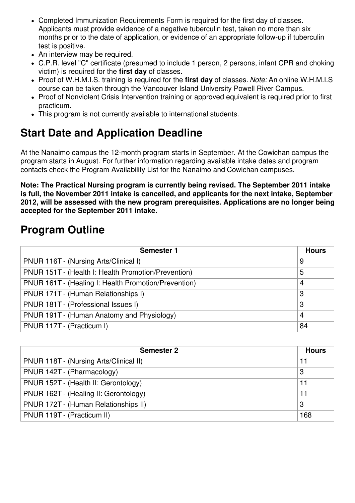- Completed Immunization Requirements Form is required for the first day of classes. Applicants must provide evidence of a negative tuberculin test, taken no more than six months prior to the date of application, or evidence of an appropriate follow-up if tuberculin test is positive.
- An interview may be required.
- C.P.R. level "C" certificate (presumed to include 1 person, 2 persons, infant CPR and choking victim) is required for the **first day** of classes.
- Proof of W.H.M.I.S. training is required for the **first day** of classes. *Note:* An online W.H.M.I.S course can be taken through the Vancouver Island University Powell River Campus.
- Proof of Nonviolent Crisis Intervention training or approved equivalent is required prior to first practicum.
- This program is not currently available to international students.

# **Start Date and Application Deadline**

At the Nanaimo campus the 12-month program starts in September. At the Cowichan campus the program starts in August. For further information regarding available intake dates and program contacts check the Program Availability List for the Nanaimo and Cowichan campuses.

**Note: The Practical Nursing program is currently being revised. The September 2011 intake is full, the November 2011 intake is cancelled, and applicants for the next intake, September 2012, will be assessed with the new program prerequisites. Applications are no longer being accepted for the September 2011 intake.**

# **Program Outline**

| <b>Semester 1</b>                                    | <b>Hours</b> |
|------------------------------------------------------|--------------|
| PNUR 116T - (Nursing Arts/Clinical I)                | 9            |
| PNUR 151T - (Health I: Health Promotion/Prevention)  | 5            |
| PNUR 161T - (Healing I: Health Promotion/Prevention) | 4            |
| PNUR 171T - (Human Relationships I)                  | 3            |
| PNUR 181T - (Professional Issues I)                  | 3            |
| PNUR 191T - (Human Anatomy and Physiology)           | 4            |
| PNUR 117T - (Practicum I)                            | 84           |

| <b>Semester 2</b>                      | <b>Hours</b> |
|----------------------------------------|--------------|
| PNUR 118T - (Nursing Arts/Clinical II) | 11           |
| PNUR 142T - (Pharmacology)             | 3            |
| PNUR 152T - (Health II: Gerontology)   | 11           |
| PNUR 162T - (Healing II: Gerontology)  | 11           |
| PNUR 172T - (Human Relationships II)   | 3            |
| PNUR 119T - (Practicum II)             | 168          |